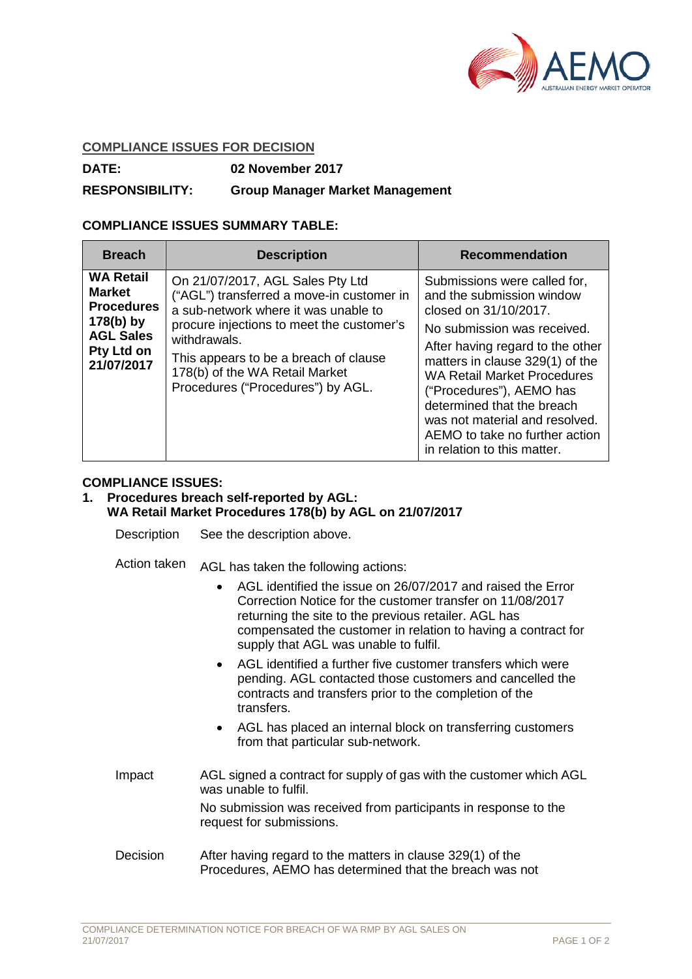

### **COMPLIANCE ISSUES FOR DECISION**

**DATE: 02 November 2017**

# **RESPONSIBILITY: Group Manager Market Management**

### **COMPLIANCE ISSUES SUMMARY TABLE:**

| <b>Breach</b>                                                                                                         | <b>Description</b>                                                                                                                                                                                                                                                                                 | <b>Recommendation</b>                                                                                                                                                                                                                                                                                                                                                                       |
|-----------------------------------------------------------------------------------------------------------------------|----------------------------------------------------------------------------------------------------------------------------------------------------------------------------------------------------------------------------------------------------------------------------------------------------|---------------------------------------------------------------------------------------------------------------------------------------------------------------------------------------------------------------------------------------------------------------------------------------------------------------------------------------------------------------------------------------------|
| <b>WA Retail</b><br><b>Market</b><br><b>Procedures</b><br>$178(b)$ by<br><b>AGL Sales</b><br>Pty Ltd on<br>21/07/2017 | On 21/07/2017, AGL Sales Pty Ltd<br>("AGL") transferred a move-in customer in<br>a sub-network where it was unable to<br>procure injections to meet the customer's<br>withdrawals.<br>This appears to be a breach of clause<br>178(b) of the WA Retail Market<br>Procedures ("Procedures") by AGL. | Submissions were called for,<br>and the submission window<br>closed on 31/10/2017.<br>No submission was received.<br>After having regard to the other<br>matters in clause 329(1) of the<br><b>WA Retail Market Procedures</b><br>("Procedures"), AEMO has<br>determined that the breach<br>was not material and resolved.<br>AEMO to take no further action<br>in relation to this matter. |

# **COMPLIANCE ISSUES:**

#### **1. Procedures breach self-reported by AGL: WA Retail Market Procedures 178(b) by AGL on 21/07/2017**

Description See the description above.

Action taken AGL has taken the following actions:

- AGL identified the issue on 26/07/2017 and raised the Error Correction Notice for the customer transfer on 11/08/2017 returning the site to the previous retailer. AGL has compensated the customer in relation to having a contract for supply that AGL was unable to fulfil.
- AGL identified a further five customer transfers which were pending. AGL contacted those customers and cancelled the contracts and transfers prior to the completion of the transfers.
- AGL has placed an internal block on transferring customers from that particular sub-network.
- Impact AGL signed a contract for supply of gas with the customer which AGL was unable to fulfil. No submission was received from participants in response to the request for submissions.
- Decision After having regard to the matters in clause 329(1) of the Procedures, AEMO has determined that the breach was not